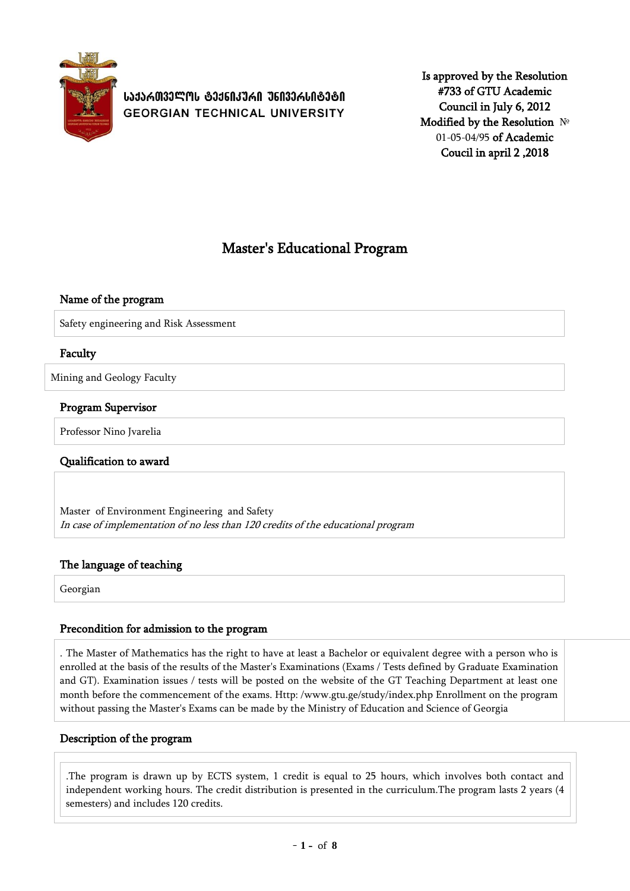

**ᲡᲐᲥᲐᲠᲗᲕᲔᲚᲝᲡ ᲢᲔᲥᲜᲘᲙᲣᲠᲘ ᲣᲜᲘᲕᲔᲠᲡᲘᲢᲔᲢᲘ GEORGIAN TECHNICAL UNIVERSITY** 

Is approved by the Resolution #733 of GTU Academic Council in July 6, 2012 Modified by the Resolution № 01-05-04/95 of Academic Coucil in april 2 ,2018

# Master's Educational Program

### Name of the program

Safety engineering and Risk Assessment

### Faculty

Mining and Geology Faculty

#### Program Supervisor

Professor Nino Jvarelia

### Qualification to award

Master of Environment Engineering and Safety In case of implementation of no less than 120 credits of the educational program

### The language of teaching

Georgian

#### Precondition for admission to the program

. The Master of Mathematics has the right to have at least a Bachelor or equivalent degree with a person who is enrolled at the basis of the results of the Master's Examinations (Exams / Tests defined by Graduate Examination and GT). Examination issues / tests will be posted on the website of the GT Teaching Department at least one month before the commencement of the exams. Http: /www.gtu.ge/study/index.php Enrollment on the program without passing the Master's Exams can be made by the Ministry of Education and Science of Georgia

#### Description of the program

.The program is drawn up by ECTS system, 1 credit is equal to 25 hours, which involves both contact and independent working hours. The credit distribution is presented in the curriculum.The program lasts 2 years (4 semesters) and includes 120 credits.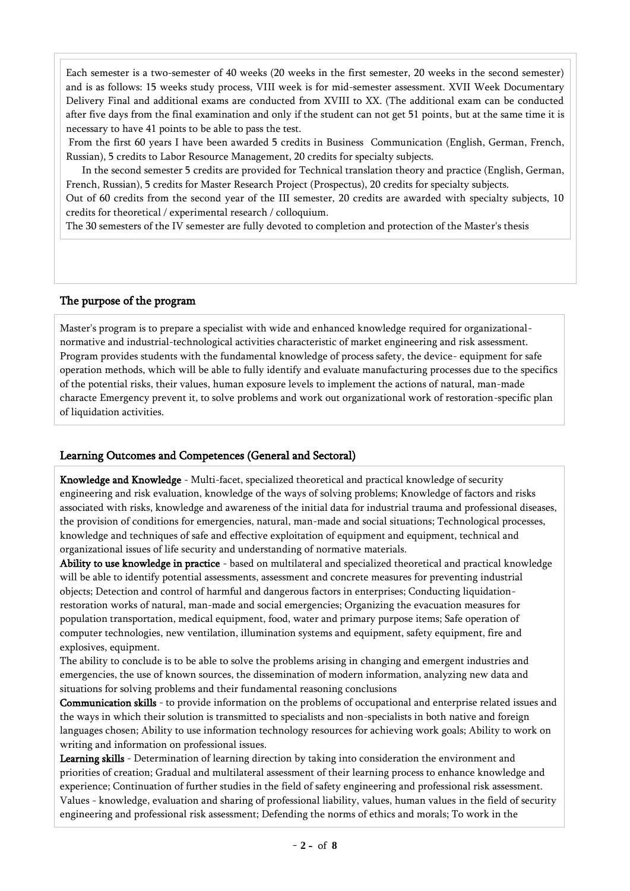Each semester is a two-semester of 40 weeks (20 weeks in the first semester, 20 weeks in the second semester) and is as follows: 15 weeks study process, VIII week is for mid-semester assessment. XVII Week Documentary Delivery Final and additional exams are conducted from XVIII to XX. (The additional exam can be conducted after five days from the final examination and only if the student can not get 51 points, but at the same time it is necessary to have 41 points to be able to pass the test.

From the first 60 years I have been awarded 5 credits in Business Communication (English, German, French, Russian), 5 credits to Labor Resource Management, 20 credits for specialty subjects.

 In the second semester 5 credits are provided for Technical translation theory and practice (English, German, French, Russian), 5 credits for Master Research Project (Prospectus), 20 credits for specialty subjects.

Out of 60 credits from the second year of the III semester, 20 credits are awarded with specialty subjects, 10 credits for theoretical / experimental research / colloquium.

The 30 semesters of the IV semester are fully devoted to completion and protection of the Master's thesis

#### The purpose of the program

Master's program is to prepare a specialist with wide and enhanced knowledge required for organizationalnormative and industrial-technological activities characteristic of market engineering and risk assessment. Program provides students with the fundamental knowledge of process safety, the device- equipment for safe operation methods, which will be able to fully identify and evaluate manufacturing processes due to the specifics of the potential risks, their values, human exposure levels to implement the actions of natural, man-made characte Emergency prevent it, to solve problems and work out organizational work of restoration-specific plan of liquidation activities.

### Learning Outcomes and Competences (General and Sectoral)

Knowledge and Knowledge - Multi-facet, specialized theoretical and practical knowledge of security engineering and risk evaluation, knowledge of the ways of solving problems; Knowledge of factors and risks associated with risks, knowledge and awareness of the initial data for industrial trauma and professional diseases, the provision of conditions for emergencies, natural, man-made and social situations; Technological processes, knowledge and techniques of safe and effective exploitation of equipment and equipment, technical and organizational issues of life security and understanding of normative materials.

Ability to use knowledge in practice - based on multilateral and specialized theoretical and practical knowledge will be able to identify potential assessments, assessment and concrete measures for preventing industrial objects; Detection and control of harmful and dangerous factors in enterprises; Conducting liquidationrestoration works of natural, man-made and social emergencies; Organizing the evacuation measures for population transportation, medical equipment, food, water and primary purpose items; Safe operation of computer technologies, new ventilation, illumination systems and equipment, safety equipment, fire and explosives, equipment.

The ability to conclude is to be able to solve the problems arising in changing and emergent industries and emergencies, the use of known sources, the dissemination of modern information, analyzing new data and situations for solving problems and their fundamental reasoning conclusions

Communication skills - to provide information on the problems of occupational and enterprise related issues and the ways in which their solution is transmitted to specialists and non-specialists in both native and foreign languages chosen; Ability to use information technology resources for achieving work goals; Ability to work on writing and information on professional issues.

Learning skills - Determination of learning direction by taking into consideration the environment and priorities of creation; Gradual and multilateral assessment of their learning process to enhance knowledge and experience; Continuation of further studies in the field of safety engineering and professional risk assessment. Values - knowledge, evaluation and sharing of professional liability, values, human values in the field of security engineering and professional risk assessment; Defending the norms of ethics and morals; To work in the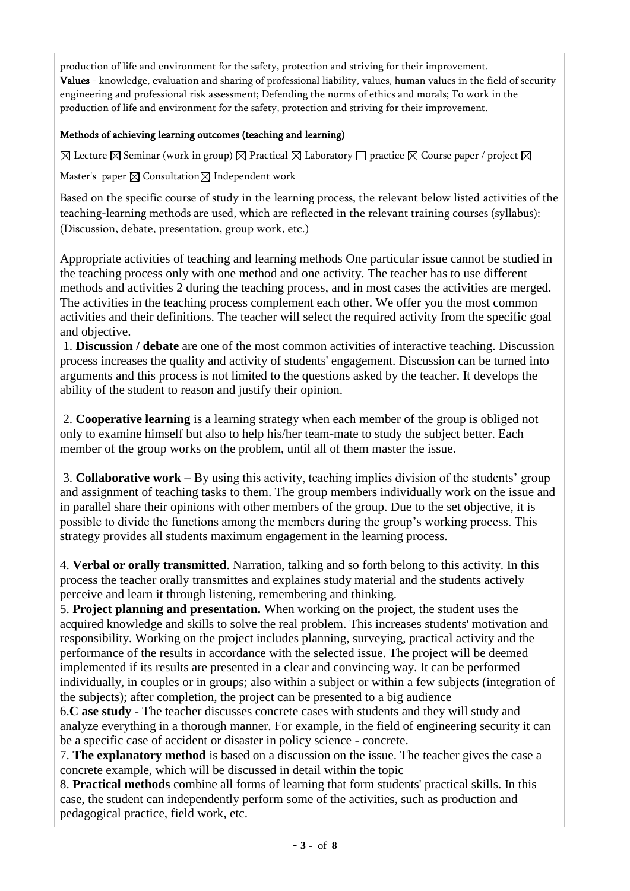production of life and environment for the safety, protection and striving for their improvement. Values - knowledge, evaluation and sharing of professional liability, values, human values in the field of security engineering and professional risk assessment; Defending the norms of ethics and morals; To work in the production of life and environment for the safety, protection and striving for their improvement.

### Methods of achieving learning outcomes (teaching and learning)

 $\boxtimes$  Lecture  $\boxtimes$  Seminar (work in group)  $\boxtimes$  Practical  $\boxtimes$  Laboratory  $\Box$  practice  $\boxtimes$  Course paper / project  $\boxtimes$ 

Master's paper  $\boxtimes$  Consultation  $\boxtimes$  Independent work

Based on the specific course of study in the learning process, the relevant below listed activities of the teaching-learning methods are used, which are reflected in the relevant training courses (syllabus): (Discussion, debate, presentation, group work, etc.)

Appropriate activities of teaching and learning methods One particular issue cannot be studied in the teaching process only with one method and one activity. The teacher has to use different methods and activities 2 during the teaching process, and in most cases the activities are merged. The activities in the teaching process complement each other. We offer you the most common activities and their definitions. The teacher will select the required activity from the specific goal and objective.

1. **Discussion / debate** are one of the most common activities of interactive teaching. Discussion process increases the quality and activity of students' engagement. Discussion can be turned into arguments and this process is not limited to the questions asked by the teacher. It develops the ability of the student to reason and justify their opinion.

2. **Cooperative learning** is a learning strategy when each member of the group is obliged not only to examine himself but also to help his/her team-mate to study the subject better. Each member of the group works on the problem, until all of them master the issue.

3. **Collaborative work** – By using this activity, teaching implies division of the students' group and assignment of teaching tasks to them. The group members individually work on the issue and in parallel share their opinions with other members of the group. Due to the set objective, it is possible to divide the functions among the members during the group's working process. This strategy provides all students maximum engagement in the learning process.

4. **Verbal or orally transmitted**. Narration, talking and so forth belong to this activity. In this process the teacher orally transmittes and explaines study material and the students actively perceive and learn it through listening, remembering and thinking.

5. **Project planning and presentation.** When working on the project, the student uses the acquired knowledge and skills to solve the real problem. This increases students' motivation and responsibility. Working on the project includes planning, surveying, practical activity and the performance of the results in accordance with the selected issue. The project will be deemed implemented if its results are presented in a clear and convincing way. It can be performed individually, in couples or in groups; also within a subject or within a few subjects (integration of the subjects); after completion, the project can be presented to a big audience

6.**C ase study** - The teacher discusses concrete cases with students and they will study and analyze everything in a thorough manner. For example, in the field of engineering security it can be a specific case of accident or disaster in policy science - concrete.

7. **The explanatory method** is based on a discussion on the issue. The teacher gives the case a concrete example, which will be discussed in detail within the topic

8. **Practical methods** combine all forms of learning that form students' practical skills. In this case, the student can independently perform some of the activities, such as production and pedagogical practice, field work, etc.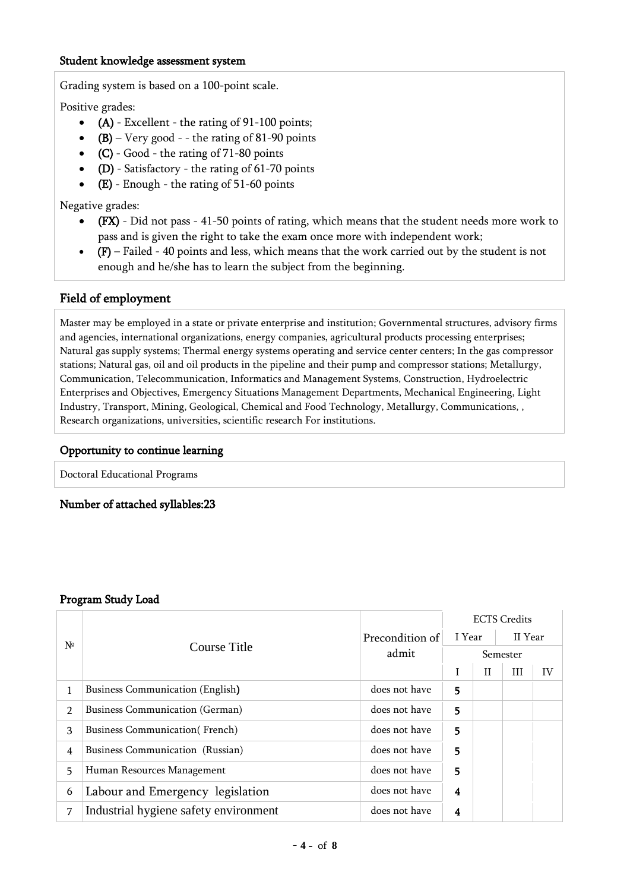#### Student knowledge assessment system

Grading system is based on a 100-point scale.

Positive grades:

- $\bullet$  (A) Excellent the rating of 91-100 points;
- (B) Very good - the rating of 81-90 points
- $(C)$  Good the rating of 71-80 points
- (D) Satisfactory the rating of  $61-70$  points
- $\bullet$  (E) Enough the rating of 51-60 points

Negative grades:

- (FX) Did not pass 41-50 points of rating, which means that the student needs more work to pass and is given the right to take the exam once more with independent work;
- $\bullet$  (F) Failed 40 points and less, which means that the work carried out by the student is not enough and he/she has to learn the subject from the beginning.

### Field of employment

Master may be employed in a state or private enterprise and institution; Governmental structures, advisory firms and agencies, international organizations, energy companies, agricultural products processing enterprises; Natural gas supply systems; Thermal energy systems operating and service center centers; In the gas compressor stations; Natural gas, oil and oil products in the pipeline and their pump and compressor stations; Metallurgy, Communication, Telecommunication, Informatics and Management Systems, Construction, Hydroelectric Enterprises and Objectives, Emergency Situations Management Departments, Mechanical Engineering, Light Industry, Transport, Mining, Geological, Chemical and Food Technology, Metallurgy, Communications, , Research organizations, universities, scientific research For institutions.

### Opportunity to continue learning

Doctoral Educational Programs

Number of attached syllables:23

#### Program Study Load

|                |                                         |                 |          | <b>ECTS</b> Credits |         |    |  |
|----------------|-----------------------------------------|-----------------|----------|---------------------|---------|----|--|
| N <sup>o</sup> | Course Title                            | Precondition of | I Year   |                     | II Year |    |  |
|                |                                         | admit           | Semester |                     |         |    |  |
|                |                                         |                 |          | $\mathbf{H}$        | Ш       | IV |  |
|                | <b>Business Communication (English)</b> | does not have   | 5        |                     |         |    |  |
| $\overline{2}$ | <b>Business Communication (German)</b>  | does not have   | 5        |                     |         |    |  |
| 3              | <b>Business Communication</b> (French)  | does not have   | 5        |                     |         |    |  |
| 4              | Business Communication (Russian)        | does not have   | 5        |                     |         |    |  |
| 5.             | Human Resources Management              | does not have   | 5        |                     |         |    |  |
| 6              | Labour and Emergency legislation        | does not have   | 4        |                     |         |    |  |
| 7              | Industrial hygiene safety environment   | does not have   | 4        |                     |         |    |  |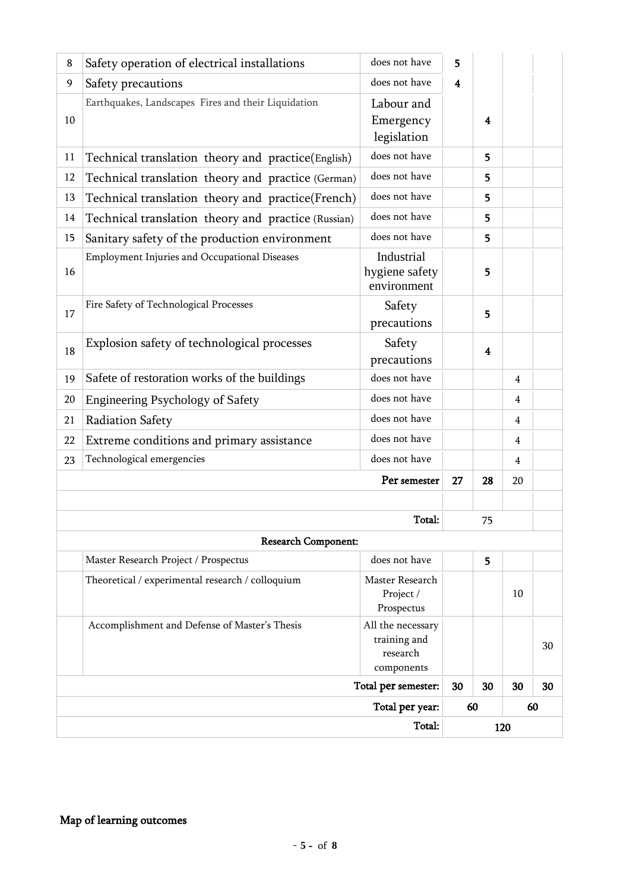| 8  | Safety operation of electrical installations        | does not have                                               | 5                |                         |                |    |  |
|----|-----------------------------------------------------|-------------------------------------------------------------|------------------|-------------------------|----------------|----|--|
| 9  | Safety precautions                                  | does not have                                               | $\boldsymbol{4}$ |                         |                |    |  |
| 10 | Earthquakes, Landscapes Fires and their Liquidation | Labour and<br>Emergency<br>legislation                      |                  | 4                       |                |    |  |
| 11 | Technical translation theory and practice(English)  | does not have                                               |                  | 5                       |                |    |  |
| 12 | Technical translation theory and practice (German)  | does not have                                               |                  | 5.                      |                |    |  |
| 13 | Technical translation theory and practice(French)   | does not have                                               |                  | 5                       |                |    |  |
| 14 | Technical translation theory and practice (Russian) | does not have                                               |                  | 5                       |                |    |  |
| 15 | Sanitary safety of the production environment       | does not have                                               |                  | 5                       |                |    |  |
| 16 | Employment Injuries and Occupational Diseases       | Industrial<br>hygiene safety<br>environment                 |                  | 5                       |                |    |  |
| 17 | Fire Safety of Technological Processes              | Safety<br>precautions                                       |                  | 5                       |                |    |  |
| 18 | Explosion safety of technological processes         | Safety<br>precautions                                       |                  | $\overline{\mathbf{4}}$ |                |    |  |
| 19 | Safete of restoration works of the buildings        | does not have                                               |                  |                         | $\overline{4}$ |    |  |
| 20 | <b>Engineering Psychology of Safety</b>             | does not have                                               |                  |                         | $\overline{4}$ |    |  |
| 21 | Radiation Safety                                    | does not have                                               |                  |                         | 4              |    |  |
| 22 | Extreme conditions and primary assistance           | does not have                                               |                  |                         | $\overline{4}$ |    |  |
| 23 | Technological emergencies                           | does not have                                               |                  |                         | $\overline{4}$ |    |  |
|    |                                                     | 27                                                          | 28               | 20                      |                |    |  |
|    |                                                     |                                                             |                  |                         |                |    |  |
|    |                                                     | Total:                                                      | 75               |                         |                |    |  |
|    | <b>Research Component:</b>                          |                                                             |                  |                         |                |    |  |
|    | Master Research Project / Prospectus                | does not have                                               |                  | 5                       |                |    |  |
|    | Theoretical / experimental research / colloquium    | Master Research<br>Project /<br>Prospectus                  |                  |                         | 10             |    |  |
|    | Accomplishment and Defense of Master's Thesis       | All the necessary<br>training and<br>research<br>components |                  |                         |                | 30 |  |
|    | Total per semester:                                 | 30                                                          | 30               | 30                      | 30             |    |  |
|    |                                                     |                                                             | 60               | 60                      |                |    |  |
|    |                                                     |                                                             |                  | 120                     |                |    |  |

# Map of learning outcomes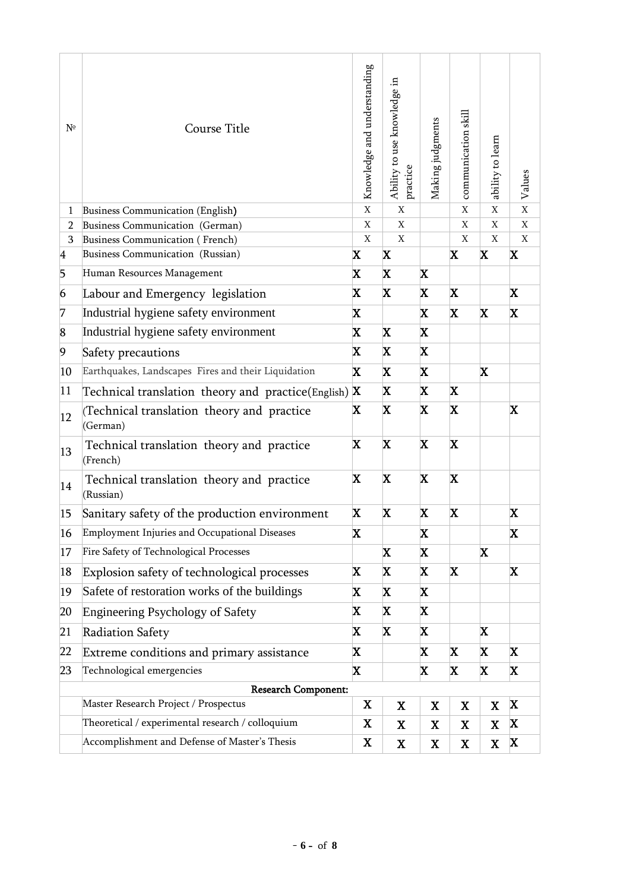| $N^{\circ}$  | Course Title                                           | Knowledge and understanding | Ability to use knowledge in<br>practice | Making judgments | communication skill | ability to learn | Values         |  |  |  |
|--------------|--------------------------------------------------------|-----------------------------|-----------------------------------------|------------------|---------------------|------------------|----------------|--|--|--|
| $\mathbf{1}$ | Business Communication (English)                       | $\mathbf X$                 | $\mathbf X$                             |                  | $\mathbf X$         | $\mathbf X$      | $\overline{X}$ |  |  |  |
| 2            | Business Communication (German)                        | $\mathbf X$                 | $\mathbf X$                             |                  | X                   | $\mathbf X$      | $\mathbf{X}$   |  |  |  |
| 3            | Business Communication (French)                        | $\mathbf X$                 | $\mathbf X$                             |                  | X                   | $\mathbf X$      | $\mathbf X$    |  |  |  |
| 4            | Business Communication (Russian)                       | X                           | $\mathbf x$                             |                  | X                   | $\mathbf x$      | X              |  |  |  |
| 5            | Human Resources Management                             | X                           | X                                       | $\mathbf X$      |                     |                  |                |  |  |  |
| 6            | Labour and Emergency legislation                       | X                           | X                                       | X                | X.                  |                  | X.             |  |  |  |
| 7            | Industrial hygiene safety environment                  | X                           | X                                       |                  | X                   | $\mathbf x$      | X.             |  |  |  |
| 8            | Industrial hygiene safety environment                  | X                           | X<br>X                                  |                  |                     |                  |                |  |  |  |
| 9            | Safety precautions                                     | X                           | X<br>X                                  |                  |                     |                  |                |  |  |  |
| 10           | Earthquakes, Landscapes Fires and their Liquidation    | X.                          | X                                       | $\mathbf X$      |                     | $\mathbf x$      |                |  |  |  |
| 11           | Technical translation theory and practice (English)    | X                           | X                                       | X.               | $\mathbf X$         |                  |                |  |  |  |
| 12           | (Technical translation theory and practice<br>(German) | X                           | X                                       | $\mathbf x$      | X                   |                  | $\mathbf x$    |  |  |  |
| 13           | Technical translation theory and practice<br>(French)  | X                           | X                                       | $\mathbf X$      | X                   |                  |                |  |  |  |
| 14           | Technical translation theory and practice<br>(Russian) | X                           | X                                       | $\mathbf X$      | X                   |                  |                |  |  |  |
| 15           | Sanitary safety of the production environment          | X                           | X                                       | X                | X                   |                  | X              |  |  |  |
| 16           | Employment Injuries and Occupational Diseases          | X                           |                                         | X                |                     |                  | X              |  |  |  |
| 17           | Fire Safety of Technological Processes                 |                             | X                                       | X                |                     | X                |                |  |  |  |
| 18           | Explosion safety of technological processes            | X                           | X                                       | X                | X                   |                  | X              |  |  |  |
| 19           | Safete of restoration works of the buildings           | X                           | X                                       | $\mathbf X$      |                     |                  |                |  |  |  |
| 20           | <b>Engineering Psychology of Safety</b>                | X                           | X                                       |                  |                     |                  |                |  |  |  |
| 21           | <b>Radiation Safety</b>                                | X                           | X                                       |                  |                     | X                |                |  |  |  |
| 22           | Extreme conditions and primary assistance              | X                           |                                         | X                | X                   | $\mathbf x$      | X.             |  |  |  |
| 23           | Technological emergencies                              | X                           |                                         | X                | X                   | $\mathbf x$      | X.             |  |  |  |
|              | <b>Research Component:</b>                             |                             |                                         |                  |                     |                  |                |  |  |  |
|              | Master Research Project / Prospectus                   | X                           | $\mathbf X$                             | $\mathbf X$      | $\mathbf X$         | $\mathbf X$      | X              |  |  |  |
|              | Theoretical / experimental research / colloquium       | X                           | $\mathbf X$                             | $\mathbf X$      | X                   | $\mathbf X$      | X              |  |  |  |
|              | Accomplishment and Defense of Master's Thesis          | X                           | $\mathbf X$                             | X                | X                   | $\mathbf X$      | X              |  |  |  |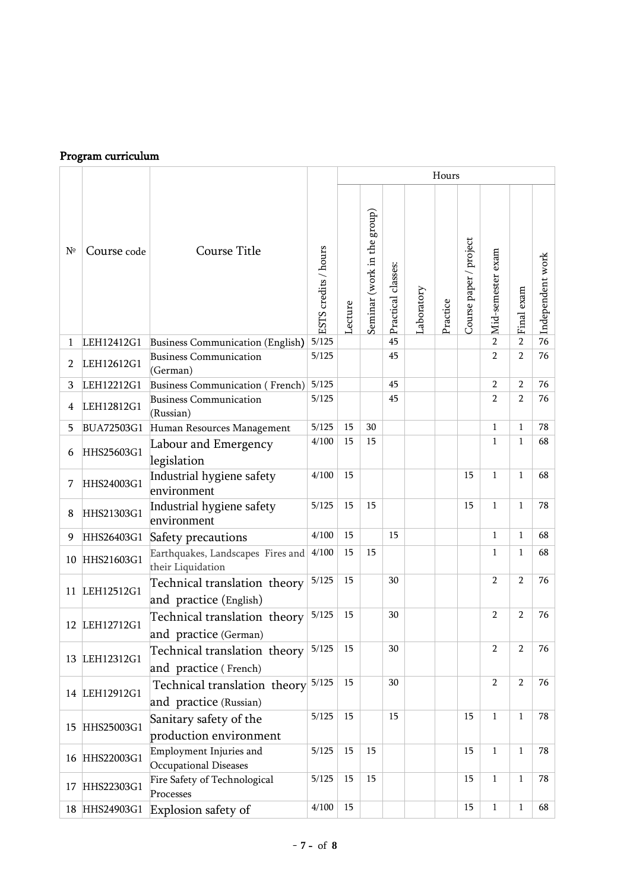## Program curriculum

|             | Program curriculum |                                                              |                      |         |                             |                    |            |          |                        |                   |                |                  |
|-------------|--------------------|--------------------------------------------------------------|----------------------|---------|-----------------------------|--------------------|------------|----------|------------------------|-------------------|----------------|------------------|
|             |                    |                                                              |                      |         |                             |                    |            | Hours    |                        |                   |                |                  |
| $N^{\circ}$ | Course code        | Course Title                                                 | ESTS credits / hours | Lecture | Seminar (work in the group) | Practical classes: | Laboratory | Practice | Course paper / project | Mid-semester exam | Final exam     | Independent work |
| 1           | LEH12412G1         | Business Communication (English)                             | 5/125                |         |                             | 45                 |            |          |                        | $\mathcal{P}$     | $\overline{2}$ | 76               |
| 2           | LEH12612G1         | <b>Business Communication</b><br>(German)                    | 5/125                |         |                             | 45                 |            |          |                        | $\overline{2}$    | $\overline{2}$ | 76               |
| 3           | LEH12212G1         | Business Communication (French)                              | 5/125                |         |                             | 45                 |            |          |                        | $\overline{2}$    | $\overline{2}$ | 76               |
| 4           | LEH12812G1         | <b>Business Communication</b><br>(Russian)                   | 5/125                |         |                             | 45                 |            |          |                        | $\overline{2}$    | $\overline{2}$ | 76               |
| 5           | <b>BUA72503G1</b>  | Human Resources Management                                   | 5/125                | 15      | 30                          |                    |            |          |                        | $\mathbf{1}$      | $\mathbf{1}$   | 78               |
| 6           | HHS25603G1         | Labour and Emergency<br>legislation                          | 4/100                | 15      | 15                          |                    |            |          |                        | $\mathbf{1}$      | $\mathbf{1}$   | 68               |
| 7           | HHS24003G1         | Industrial hygiene safety<br>environment                     | 4/100                | 15      |                             |                    |            |          | 15                     | $\mathbf{1}$      | 1              | 68               |
| 8           | HHS21303G1         | Industrial hygiene safety<br>environment                     | 5/125                | 15      | 15                          |                    |            |          | 15                     | $\mathbf{1}$      | $\mathbf{1}$   | 78               |
| 9           |                    | HHS26403G1 Safety precautions                                | 4/100                | 15      |                             | 15                 |            |          |                        | 1                 | 1              | 68               |
|             | 10 HHS21603G1      | Earthquakes, Landscapes Fires and<br>their Liquidation       | 4/100                | 15      | 15                          |                    |            |          |                        | $\mathbf{1}$      | 1              | 68               |
|             | 11 LEH12512G1      | Technical translation theory<br>and practice (English)       | 5/125                | 15      |                             | 30                 |            |          |                        | $\overline{2}$    | $\overline{2}$ | 76               |
|             | 12 LEH12712G1      | Technical translation theory<br>and practice (German)        | 5/125                | 15      |                             | 30                 |            |          |                        | $\overline{2}$    | $\overline{2}$ | 76               |
|             | 13 LEH12312G1      | Technical translation theory<br>and practice (French)        | 5/125                | 15      |                             | 30                 |            |          |                        | $\overline{2}$    | 2              | 76               |
|             | 14 LEH12912G1      | Technical translation theory 5/125<br>and practice (Russian) |                      | 15      |                             | 30                 |            |          |                        | $\overline{2}$    | $\overline{2}$ | 76               |
| 15          | HHS25003G1         | Sanitary safety of the<br>production environment             | 5/125                | 15      |                             | 15                 |            |          | 15                     | $\mathbf{1}$      | $\mathbf{1}$   | 78               |
|             | 16 HHS22003G1      | Employment Injuries and<br>Occupational Diseases             | 5/125                | 15      | 15                          |                    |            |          | 15                     | $\mathbf{1}$      | 1              | 78               |
| 17          | HHS22303G1         | Fire Safety of Technological<br>Processes                    | 5/125                | 15      | 15                          |                    |            |          | 15                     | $\mathbf{1}$      | 1              | 78               |
|             | 18 HHS24903G1      | Explosion safety of                                          | 4/100                | 15      |                             |                    |            |          | 15                     | $\mathbf{1}$      | 1              | 68               |